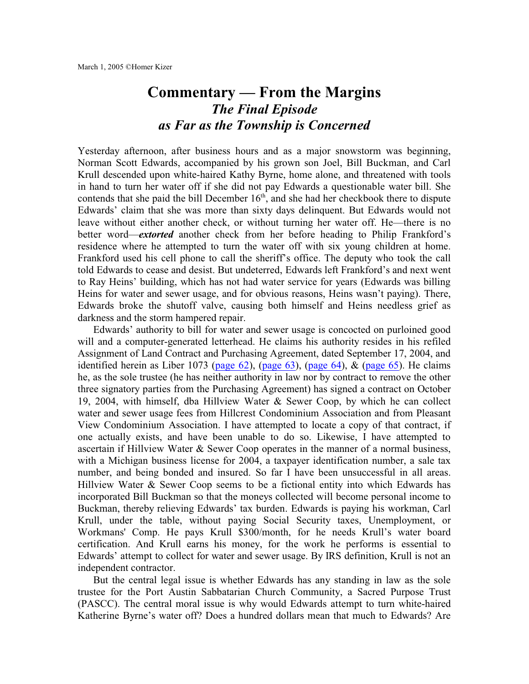## **Commentary — From the Margins** *The Final Episode as Far as the Township is Concerned*

Yesterday afternoon, after business hours and as a major snowstorm was beginning, Norman Scott Edwards, accompanied by his grown son Joel, Bill Buckman, and Carl Krull descended upon white-haired Kathy Byrne, home alone, and threatened with tools in hand to turn her water off if she did not pay Edwards a questionable water bill. She contends that she paid the bill December 16<sup>th</sup>, and she had her checkbook there to dispute Edwards' claim that she was more than sixty days delinquent. But Edwards would not leave without either another check, or without turning her water off. He—there is no better word—*extorted* another check from her before heading to Philip Frankford's residence where he attempted to turn the water off with six young children at home. Frankford used his cell phone to call the sheriff's office. The deputy who took the call told Edwards to cease and desist. But undeterred, Edwards left Frankford's and next went to Ray Heins' building, which has not had water service for years (Edwards was billing Heins for water and sewer usage, and for obvious reasons, Heins wasn't paying). There, Edwards broke the shutoff valve, causing both himself and Heins needless grief as darkness and the storm hampered repair.

Edwards' authority to bill for water and sewer usage is concocted on purloined good will and a computer-generated letterhead. He claims his authority resides in his refiled Assignment of Land Contract and Purchasing Agreement, dated September 17, 2004, and identified herein as Liber 1073 [\(page](http://homerkizer.org/ALC%20%201073-62.pdf)  $62$ ), (page  $63$ ), (page  $64$ ), & (page  $65$ ). He claims he, as the sole trustee (he has neither authority in law nor by contract to remove the other three signatory parties from the Purchasing Agreement) has signed a contract on October 19, 2004, with himself, dba Hillview Water & Sewer Coop, by which he can collect water and sewer usage fees from Hillcrest Condominium Association and from Pleasant View Condominium Association. I have attempted to locate a copy of that contract, if one actually exists, and have been unable to do so. Likewise, I have attempted to ascertain if Hillview Water & Sewer Coop operates in the manner of a normal business, with a Michigan business license for 2004, a taxpayer identification number, a sale tax number, and being bonded and insured. So far I have been unsuccessful in all areas. Hillview Water & Sewer Coop seems to be a fictional entity into which Edwards has incorporated Bill Buckman so that the moneys collected will become personal income to Buckman, thereby relieving Edwards' tax burden. Edwards is paying his workman, Carl Krull, under the table, without paying Social Security taxes, Unemployment, or Workmans' Comp. He pays Krull \$300/month, for he needs Krull's water board certification. And Krull earns his money, for the work he performs is essential to Edwards' attempt to collect for water and sewer usage. By IRS definition, Krull is not an independent contractor.

But the central legal issue is whether Edwards has any standing in law as the sole trustee for the Port Austin Sabbatarian Church Community, a Sacred Purpose Trust (PASCC). The central moral issue is why would Edwards attempt to turn white-haired Katherine Byrne's water off? Does a hundred dollars mean that much to Edwards? Are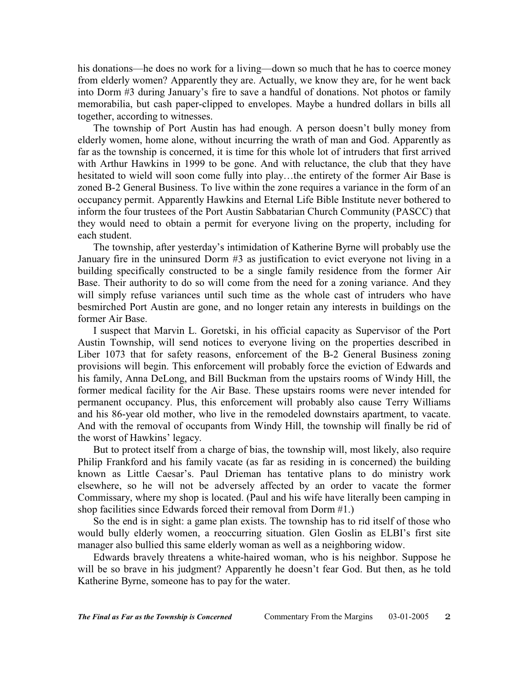his donations—he does no work for a living—down so much that he has to coerce money from elderly women? Apparently they are. Actually, we know they are, for he went back into Dorm #3 during January's fire to save a handful of donations. Not photos or family memorabilia, but cash paper-clipped to envelopes. Maybe a hundred dollars in bills all together, according to witnesses.

The township of Port Austin has had enough. A person doesn't bully money from elderly women, home alone, without incurring the wrath of man and God. Apparently as far as the township is concerned, it is time for this whole lot of intruders that first arrived with Arthur Hawkins in 1999 to be gone. And with reluctance, the club that they have hesitated to wield will soon come fully into play…the entirety of the former Air Base is zoned B-2 General Business. To live within the zone requires a variance in the form of an occupancy permit. Apparently Hawkins and Eternal Life Bible Institute never bothered to inform the four trustees of the Port Austin Sabbatarian Church Community (PASCC) that they would need to obtain a permit for everyone living on the property, including for each student.

The township, after yesterday's intimidation of Katherine Byrne will probably use the January fire in the uninsured Dorm #3 as justification to evict everyone not living in a building specifically constructed to be a single family residence from the former Air Base. Their authority to do so will come from the need for a zoning variance. And they will simply refuse variances until such time as the whole cast of intruders who have besmirched Port Austin are gone, and no longer retain any interests in buildings on the former Air Base.

I suspect that Marvin L. Goretski, in his official capacity as Supervisor of the Port Austin Township, will send notices to everyone living on the properties described in Liber 1073 that for safety reasons, enforcement of the B-2 General Business zoning provisions will begin. This enforcement will probably force the eviction of Edwards and his family, Anna DeLong, and Bill Buckman from the upstairs rooms of Windy Hill, the former medical facility for the Air Base. These upstairs rooms were never intended for permanent occupancy. Plus, this enforcement will probably also cause Terry Williams and his 86-year old mother, who live in the remodeled downstairs apartment, to vacate. And with the removal of occupants from Windy Hill, the township will finally be rid of the worst of Hawkins' legacy.

But to protect itself from a charge of bias, the township will, most likely, also require Philip Frankford and his family vacate (as far as residing in is concerned) the building known as Little Caesar's. Paul Drieman has tentative plans to do ministry work elsewhere, so he will not be adversely affected by an order to vacate the former Commissary, where my shop is located. (Paul and his wife have literally been camping in shop facilities since Edwards forced their removal from Dorm #1.)

So the end is in sight: a game plan exists. The township has to rid itself of those who would bully elderly women, a reoccurring situation. Glen Goslin as ELBI's first site manager also bullied this same elderly woman as well as a neighboring widow.

Edwards bravely threatens a white-haired woman, who is his neighbor. Suppose he will be so brave in his judgment? Apparently he doesn't fear God. But then, as he told Katherine Byrne, someone has to pay for the water.